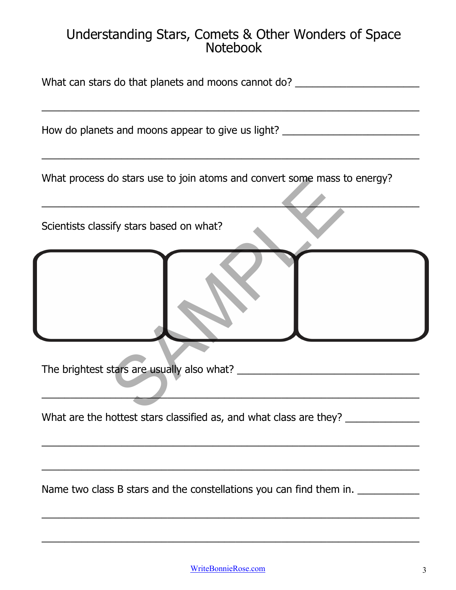## Understanding Stars, Comets & Other Wonders of Space Notebook

| What can stars do that planets and moons cannot do? ____________________________ |  |
|----------------------------------------------------------------------------------|--|
| How do planets and moons appear to give us light? ______________________________ |  |
| What process do stars use to join atoms and convert some mass to energy?         |  |
| Scientists classify stars based on what?                                         |  |
|                                                                                  |  |
| The brightest stars are usually also what? _______                               |  |
| What are the hottest stars classified as, and what class are they? _____________ |  |
| Name two class B stars and the constellations you can find them in.              |  |

\_\_\_\_\_\_\_\_\_\_\_\_\_\_\_\_\_\_\_\_\_\_\_\_\_\_\_\_\_\_\_\_\_\_\_\_\_\_\_\_\_\_\_\_\_\_\_\_\_\_\_\_\_\_\_\_\_\_\_\_\_\_\_\_\_\_\_

 $\_$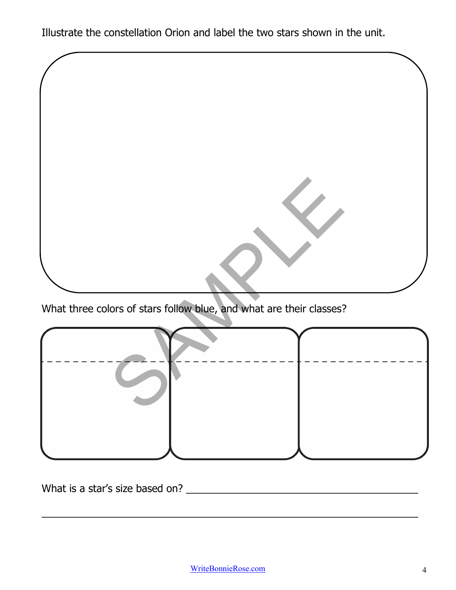Illustrate the constellation Orion and label the two stars shown in the unit.



What three colors of stars follow blue, and what are their classes?

What is a star's size based on? \_\_\_\_\_\_\_\_\_\_\_\_\_\_\_\_\_\_\_\_\_\_\_\_\_\_\_\_\_\_\_\_\_\_\_\_\_\_\_\_\_\_

\_\_\_\_\_\_\_\_\_\_\_\_\_\_\_\_\_\_\_\_\_\_\_\_\_\_\_\_\_\_\_\_\_\_\_\_\_\_\_\_\_\_\_\_\_\_\_\_\_\_\_\_\_\_\_\_\_\_\_\_\_\_\_\_\_\_\_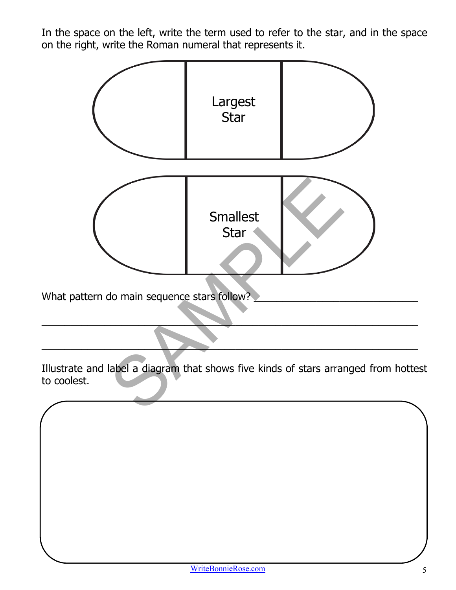In the space on the left, write the term used to refer to the star, and in the space on the right, write the Roman numeral that represents it.



What pattern do main sequence stars follow?

Illustrate and label a diagram that shows five kinds of stars arranged from hottest to coolest.

\_\_\_\_\_\_\_\_\_\_\_\_\_\_\_\_\_\_\_\_\_\_\_\_\_\_\_\_\_\_\_\_\_\_\_\_\_\_\_\_\_\_\_\_\_\_\_\_\_\_\_\_\_\_\_\_\_\_\_\_\_\_\_\_\_\_\_

\_\_\_\_\_\_\_\_\_\_\_\_\_\_\_\_\_\_\_\_\_\_\_\_\_\_\_\_\_\_\_\_\_\_\_\_\_\_\_\_\_\_\_\_\_\_\_\_\_\_\_\_\_\_\_\_\_\_\_\_\_\_\_\_\_\_\_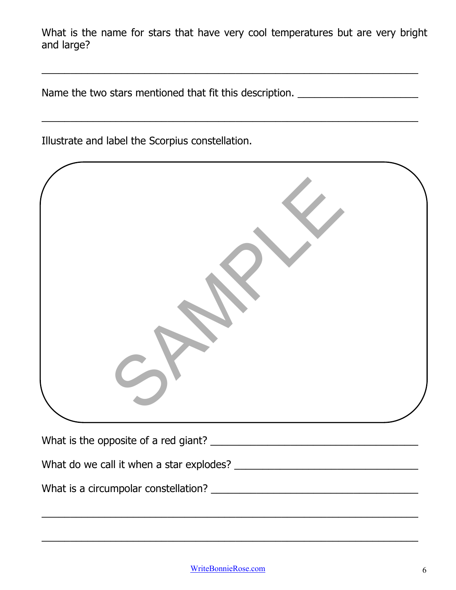What is the name for stars that have very cool temperatures but are very bright and large?

\_\_\_\_\_\_\_\_\_\_\_\_\_\_\_\_\_\_\_\_\_\_\_\_\_\_\_\_\_\_\_\_\_\_\_\_\_\_\_\_\_\_\_\_\_\_\_\_\_\_\_\_\_\_\_\_\_\_\_\_\_\_\_\_\_\_\_

\_\_\_\_\_\_\_\_\_\_\_\_\_\_\_\_\_\_\_\_\_\_\_\_\_\_\_\_\_\_\_\_\_\_\_\_\_\_\_\_\_\_\_\_\_\_\_\_\_\_\_\_\_\_\_\_\_\_\_\_\_\_\_\_\_\_\_

Name the two stars mentioned that fit this description. \_\_\_\_\_\_\_\_\_\_\_\_\_\_\_\_\_\_\_\_\_\_\_\_

Illustrate and label the Scorpius constellation.

\_\_\_\_\_\_\_\_\_\_\_\_\_\_\_\_\_\_\_\_\_\_\_\_\_\_\_\_\_\_\_\_\_\_\_\_\_\_\_\_\_\_\_\_\_\_\_\_\_\_\_\_\_\_\_\_\_\_\_\_\_\_\_\_\_\_\_